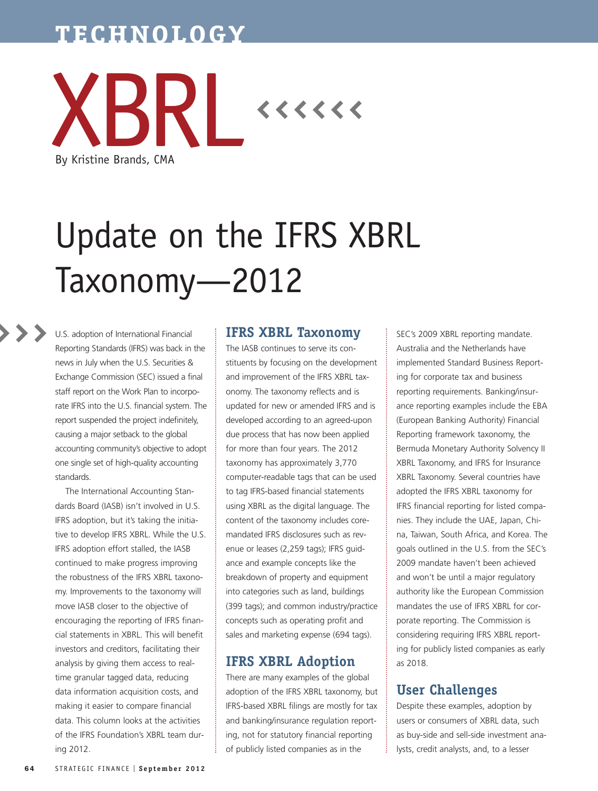# **TECHNOLOGY**



# Update on the IFRS XBRL Taxonomy—2012

U.S. adoption of International Financial Reporting Standards (IFRS) was back in the news in July when the U.S. Securities & Exchange Commission (SEC) issued a final staff report on the Work Plan to incorporate IFRS into the U.S. financial system. The report suspended the project indefinitely, causing a major setback to the global accounting community's objective to adopt one single set of high-quality accounting standards.

The International Accounting Standards Board (IASB) isn't involved in U.S. IFRS adoption, but it's taking the initiative to develop IFRS XBRL. While the U.S. IFRS adoption effort stalled, the IASB continued to make progress improving the robustness of the IFRS XBRL taxonomy. Improvements to the taxonomy will move IASB closer to the objective of encouraging the reporting of IFRS financial statements in XBRL. This will benefit investors and creditors, facilitating their analysis by giving them access to realtime granular tagged data, reducing data information acquisition costs, and making it easier to compare financial data. This column looks at the activities of the IFRS Foundation's XBRL team during 2012.

### **IFRS XBRL Taxonomy**

The IASB continues to serve its constituents by focusing on the development and improvement of the IFRS XBRL taxonomy. The taxonomy reflects and is updated for new or amended IFRS and is developed according to an agreed-upon due process that has now been applied for more than four years. The 2012 taxonomy has approximately 3,770 computer-readable tags that can be used to tag IFRS-based financial statements using XBRL as the digital language. The content of the taxonomy includes coremandated IFRS disclosures such as revenue or leases (2,259 tags); IFRS guidance and example concepts like the breakdown of property and equipment into categories such as land, buildings (399 tags); and common industry/practice concepts such as operating profit and sales and marketing expense (694 tags).

# **IFRS XBRL Adoption**

There are many examples of the global adoption of the IFRS XBRL taxonomy, but IFRS-based XBRL filings are mostly for tax and banking/insurance regulation reporting, not for statutory financial reporting of publicly listed companies as in the

SEC's 2009 XBRL reporting mandate. Australia and the Netherlands have implemented Standard Business Reporting for corporate tax and business reporting requirements. Banking/insurance reporting examples include the EBA (European Banking Authority) Financial Reporting framework taxonomy, the Bermuda Monetary Authority Solvency II XBRL Taxonomy, and IFRS for Insurance XBRL Taxonomy. Several countries have adopted the IFRS XBRL taxonomy for IFRS financial reporting for listed companies. They include the UAE, Japan, China, Taiwan, South Africa, and Korea. The goals outlined in the U.S. from the SEC's 2009 mandate haven't been achieved and won't be until a major regulatory authority like the European Commission mandates the use of IFRS XBRL for corporate reporting. The Commission is considering requiring IFRS XBRL reporting for publicly listed companies as early as 2018.

# **User Challenges**

Despite these examples, adoption by users or consumers of XBRL data, such as buy-side and sell-side investment analysts, credit analysts, and, to a lesser